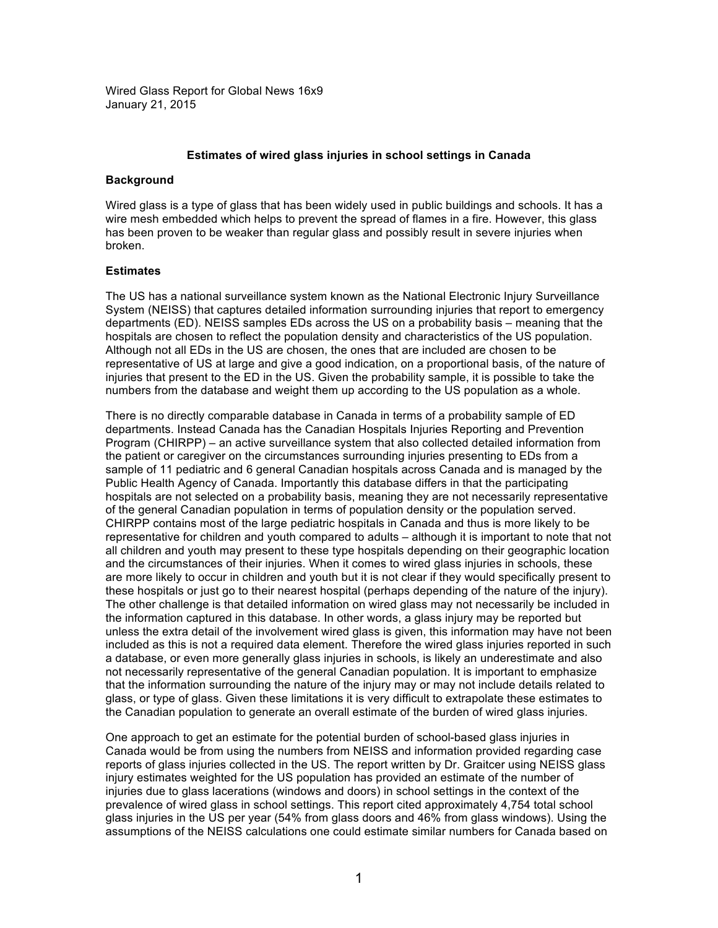Wired Glass Report for Global News 16x9 January 21, 2015

## **Estimates of wired glass injuries in school settings in Canada**

## **Background**

Wired glass is a type of glass that has been widely used in public buildings and schools. It has a wire mesh embedded which helps to prevent the spread of flames in a fire. However, this glass has been proven to be weaker than regular glass and possibly result in severe injuries when broken.

## **Estimates**

The US has a national surveillance system known as the National Electronic Injury Surveillance System (NEISS) that captures detailed information surrounding injuries that report to emergency departments (ED). NEISS samples EDs across the US on a probability basis – meaning that the hospitals are chosen to reflect the population density and characteristics of the US population. Although not all EDs in the US are chosen, the ones that are included are chosen to be representative of US at large and give a good indication, on a proportional basis, of the nature of injuries that present to the ED in the US. Given the probability sample, it is possible to take the numbers from the database and weight them up according to the US population as a whole.

There is no directly comparable database in Canada in terms of a probability sample of ED departments. Instead Canada has the Canadian Hospitals Injuries Reporting and Prevention Program (CHIRPP) – an active surveillance system that also collected detailed information from the patient or caregiver on the circumstances surrounding injuries presenting to EDs from a sample of 11 pediatric and 6 general Canadian hospitals across Canada and is managed by the Public Health Agency of Canada. Importantly this database differs in that the participating hospitals are not selected on a probability basis, meaning they are not necessarily representative of the general Canadian population in terms of population density or the population served. CHIRPP contains most of the large pediatric hospitals in Canada and thus is more likely to be representative for children and youth compared to adults – although it is important to note that not all children and youth may present to these type hospitals depending on their geographic location and the circumstances of their injuries. When it comes to wired glass injuries in schools, these are more likely to occur in children and youth but it is not clear if they would specifically present to these hospitals or just go to their nearest hospital (perhaps depending of the nature of the injury). The other challenge is that detailed information on wired glass may not necessarily be included in the information captured in this database. In other words, a glass injury may be reported but unless the extra detail of the involvement wired glass is given, this information may have not been included as this is not a required data element. Therefore the wired glass injuries reported in such a database, or even more generally glass injuries in schools, is likely an underestimate and also not necessarily representative of the general Canadian population. It is important to emphasize that the information surrounding the nature of the injury may or may not include details related to glass, or type of glass. Given these limitations it is very difficult to extrapolate these estimates to the Canadian population to generate an overall estimate of the burden of wired glass injuries.

One approach to get an estimate for the potential burden of school-based glass injuries in Canada would be from using the numbers from NEISS and information provided regarding case reports of glass injuries collected in the US. The report written by Dr. Graitcer using NEISS glass injury estimates weighted for the US population has provided an estimate of the number of injuries due to glass lacerations (windows and doors) in school settings in the context of the prevalence of wired glass in school settings. This report cited approximately 4,754 total school glass injuries in the US per year (54% from glass doors and 46% from glass windows). Using the assumptions of the NEISS calculations one could estimate similar numbers for Canada based on